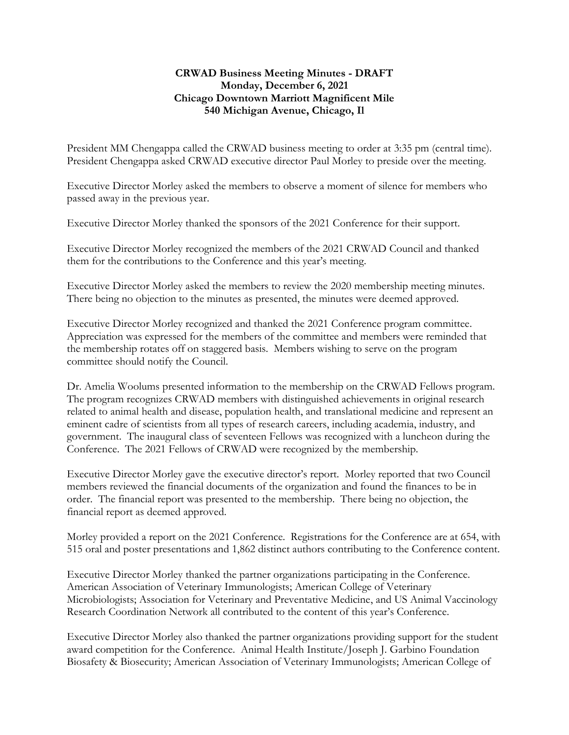## **CRWAD Business Meeting Minutes - DRAFT Monday, December 6, 2021 Chicago Downtown Marriott Magnificent Mile 540 Michigan Avenue, Chicago, Il**

President MM Chengappa called the CRWAD business meeting to order at 3:35 pm (central time). President Chengappa asked CRWAD executive director Paul Morley to preside over the meeting.

Executive Director Morley asked the members to observe a moment of silence for members who passed away in the previous year.

Executive Director Morley thanked the sponsors of the 2021 Conference for their support.

Executive Director Morley recognized the members of the 2021 CRWAD Council and thanked them for the contributions to the Conference and this year's meeting.

Executive Director Morley asked the members to review the 2020 membership meeting minutes. There being no objection to the minutes as presented, the minutes were deemed approved.

Executive Director Morley recognized and thanked the 2021 Conference program committee. Appreciation was expressed for the members of the committee and members were reminded that the membership rotates off on staggered basis. Members wishing to serve on the program committee should notify the Council.

Dr. Amelia Woolums presented information to the membership on the CRWAD Fellows program. The program recognizes CRWAD members with distinguished achievements in original research related to animal health and disease, population health, and translational medicine and represent an eminent cadre of scientists from all types of research careers, including academia, industry, and government. The inaugural class of seventeen Fellows was recognized with a luncheon during the Conference. The 2021 Fellows of CRWAD were recognized by the membership.

Executive Director Morley gave the executive director's report. Morley reported that two Council members reviewed the financial documents of the organization and found the finances to be in order. The financial report was presented to the membership. There being no objection, the financial report as deemed approved.

Morley provided a report on the 2021 Conference. Registrations for the Conference are at 654, with 515 oral and poster presentations and 1,862 distinct authors contributing to the Conference content.

Executive Director Morley thanked the partner organizations participating in the Conference. American Association of Veterinary Immunologists; American College of Veterinary Microbiologists; Association for Veterinary and Preventative Medicine, and US Animal Vaccinology Research Coordination Network all contributed to the content of this year's Conference.

Executive Director Morley also thanked the partner organizations providing support for the student award competition for the Conference. Animal Health Institute/Joseph J. Garbino Foundation Biosafety & Biosecurity; American Association of Veterinary Immunologists; American College of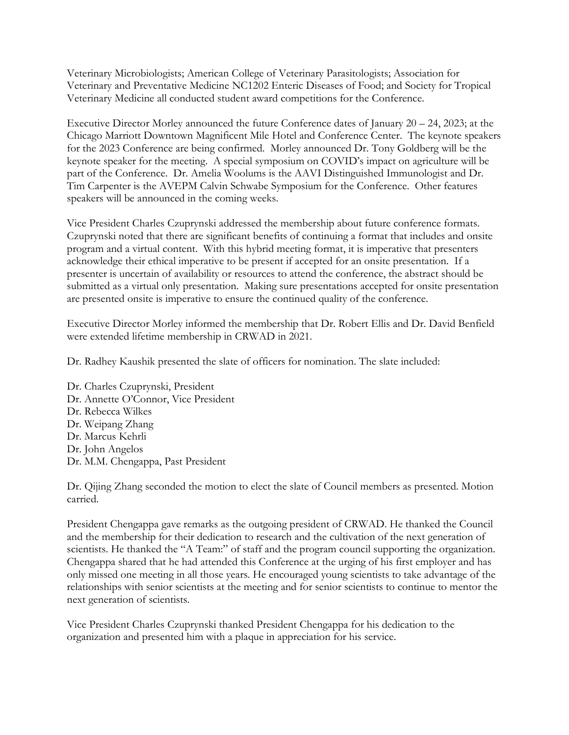Veterinary Microbiologists; American College of Veterinary Parasitologists; Association for Veterinary and Preventative Medicine NC1202 Enteric Diseases of Food; and Society for Tropical Veterinary Medicine all conducted student award competitions for the Conference.

Executive Director Morley announced the future Conference dates of January 20 – 24, 2023; at the Chicago Marriott Downtown Magnificent Mile Hotel and Conference Center. The keynote speakers for the 2023 Conference are being confirmed. Morley announced Dr. Tony Goldberg will be the keynote speaker for the meeting. A special symposium on COVID's impact on agriculture will be part of the Conference. Dr. Amelia Woolums is the AAVI Distinguished Immunologist and Dr. Tim Carpenter is the AVEPM Calvin Schwabe Symposium for the Conference. Other features speakers will be announced in the coming weeks.

Vice President Charles Czuprynski addressed the membership about future conference formats. Czuprynski noted that there are significant benefits of continuing a format that includes and onsite program and a virtual content. With this hybrid meeting format, it is imperative that presenters acknowledge their ethical imperative to be present if accepted for an onsite presentation. If a presenter is uncertain of availability or resources to attend the conference, the abstract should be submitted as a virtual only presentation. Making sure presentations accepted for onsite presentation are presented onsite is imperative to ensure the continued quality of the conference.

Executive Director Morley informed the membership that Dr. Robert Ellis and Dr. David Benfield were extended lifetime membership in CRWAD in 2021.

Dr. Radhey Kaushik presented the slate of officers for nomination. The slate included:

Dr. Charles Czuprynski, President Dr. Annette O'Connor, Vice President Dr. Rebecca Wilkes Dr. Weipang Zhang Dr. Marcus Kehrli Dr. John Angelos Dr. M.M. Chengappa, Past President

Dr. Qijing Zhang seconded the motion to elect the slate of Council members as presented. Motion carried.

President Chengappa gave remarks as the outgoing president of CRWAD. He thanked the Council and the membership for their dedication to research and the cultivation of the next generation of scientists. He thanked the "A Team:" of staff and the program council supporting the organization. Chengappa shared that he had attended this Conference at the urging of his first employer and has only missed one meeting in all those years. He encouraged young scientists to take advantage of the relationships with senior scientists at the meeting and for senior scientists to continue to mentor the next generation of scientists.

Vice President Charles Czuprynski thanked President Chengappa for his dedication to the organization and presented him with a plaque in appreciation for his service.